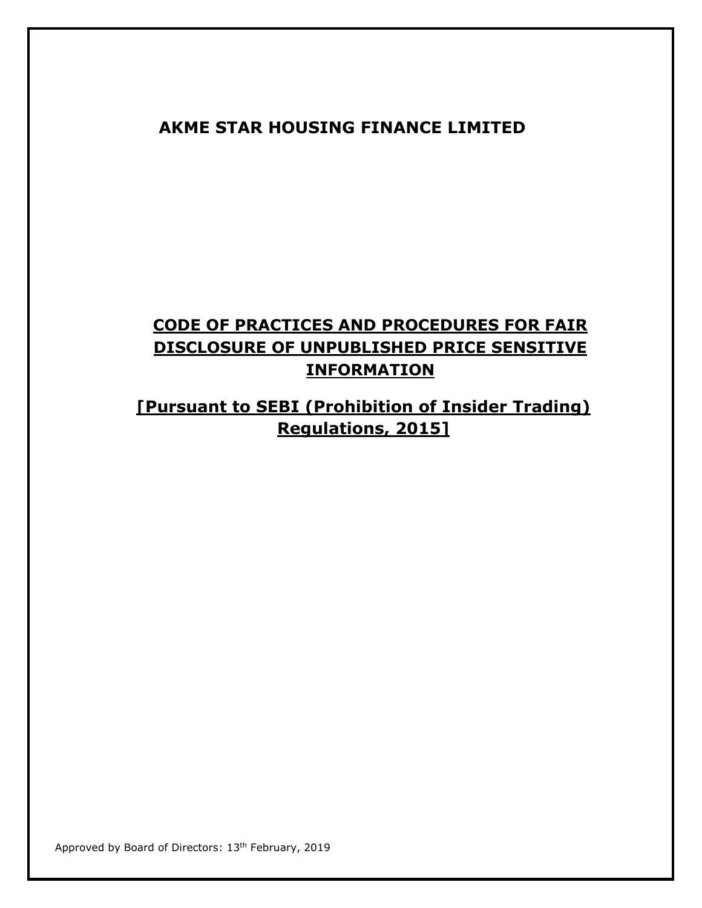## **AKME STAR HOUSING FINANCE LIMITED**

## **CODE OF PRACTICES AND PROCEDURES FOR FAIR DISCLOSURE OF UNPUBLISHED PRICE SENSITIVE INFORMATION**

## **[Pursuant to SEBI (Prohibition of Insider Trading) Regulations, 2015]**

Approved by Board of Directors: 13<sup>th</sup> February, 2019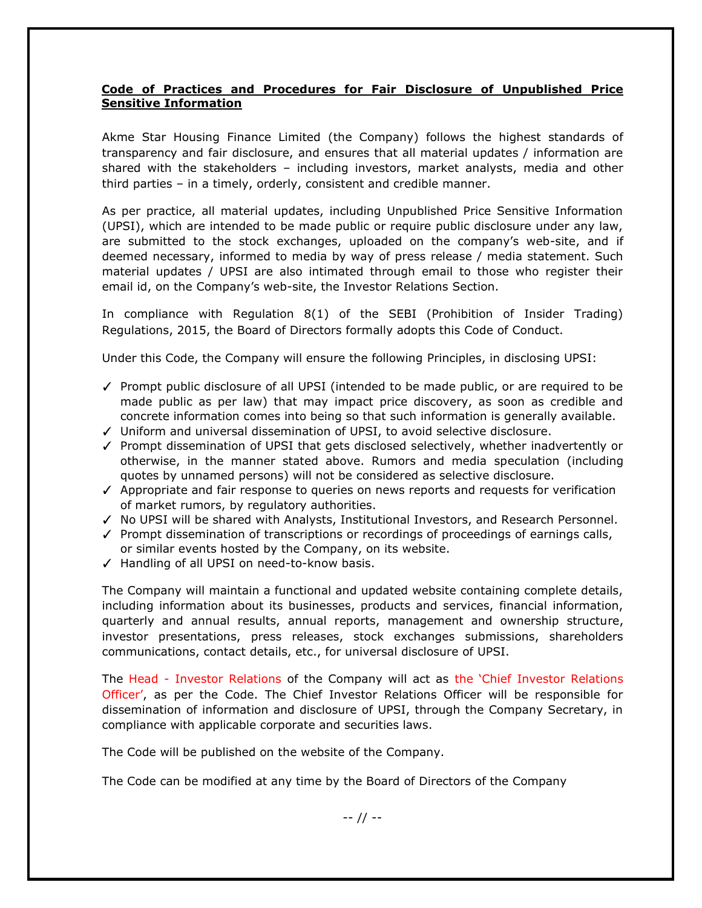## **Code of Practices and Procedures for Fair Disclosure of Unpublished Price Sensitive Information**

Akme Star Housing Finance Limited (the Company) follows the highest standards of transparency and fair disclosure, and ensures that all material updates / information are shared with the stakeholders – including investors, market analysts, media and other third parties – in a timely, orderly, consistent and credible manner.

As per practice, all material updates, including Unpublished Price Sensitive Information (UPSI), which are intended to be made public or require public disclosure under any law, are submitted to the stock exchanges, uploaded on the company's web-site, and if deemed necessary, informed to media by way of press release / media statement. Such material updates / UPSI are also intimated through email to those who register their email id, on the Company's web-site, the Investor Relations Section.

In compliance with Regulation 8(1) of the SEBI (Prohibition of Insider Trading) Regulations, 2015, the Board of Directors formally adopts this Code of Conduct.

Under this Code, the Company will ensure the following Principles, in disclosing UPSI:

- ✓ Prompt public disclosure of all UPSI (intended to be made public, or are required to be made public as per law) that may impact price discovery, as soon as credible and concrete information comes into being so that such information is generally available.
- ✓ Uniform and universal dissemination of UPSI, to avoid selective disclosure.
- ✓ Prompt dissemination of UPSI that gets disclosed selectively, whether inadvertently or otherwise, in the manner stated above. Rumors and media speculation (including quotes by unnamed persons) will not be considered as selective disclosure.
- ✓ Appropriate and fair response to queries on news reports and requests for verification of market rumors, by regulatory authorities.
- ✓ No UPSI will be shared with Analysts, Institutional Investors, and Research Personnel.
- ✓ Prompt dissemination of transcriptions or recordings of proceedings of earnings calls, or similar events hosted by the Company, on its website.
- ✓ Handling of all UPSI on need-to-know basis.

The Company will maintain a functional and updated website containing complete details, including information about its businesses, products and services, financial information, quarterly and annual results, annual reports, management and ownership structure, investor presentations, press releases, stock exchanges submissions, shareholders communications, contact details, etc., for universal disclosure of UPSI.

The Head - Investor Relations of the Company will act as the 'Chief Investor Relations Officer', as per the Code. The Chief Investor Relations Officer will be responsible for dissemination of information and disclosure of UPSI, through the Company Secretary, in compliance with applicable corporate and securities laws.

The Code will be published on the website of the Company.

The Code can be modified at any time by the Board of Directors of the Company

-- // --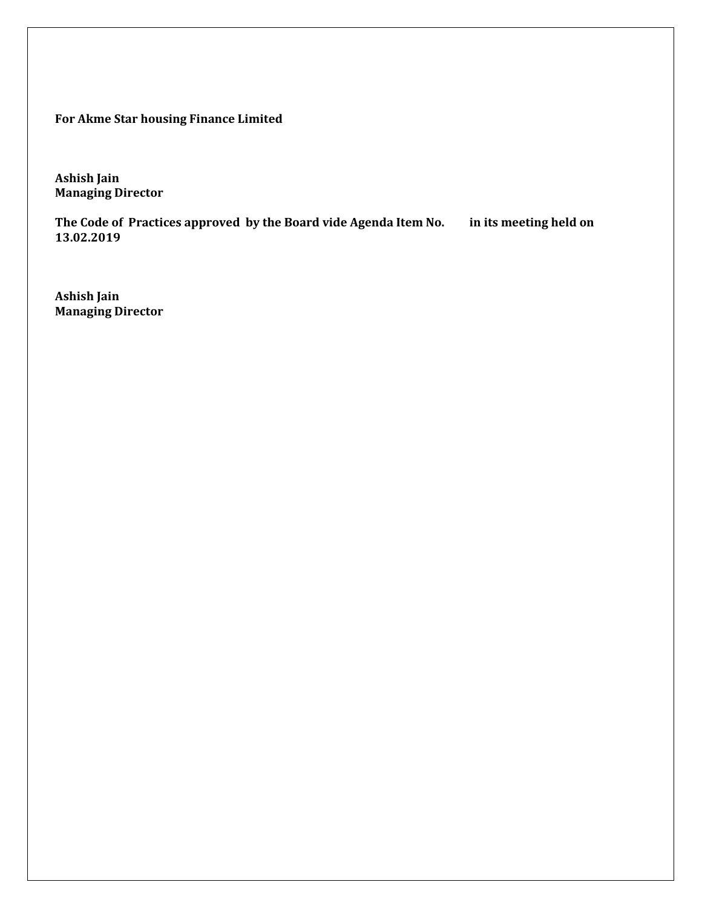**For Akme Star housing Finance Limited**

**Ashish Jain Managing Director**

**The Code of Practices approved by the Board vide Agenda Item No. in its meeting held on 13.02.2019**

**Ashish Jain Managing Director**